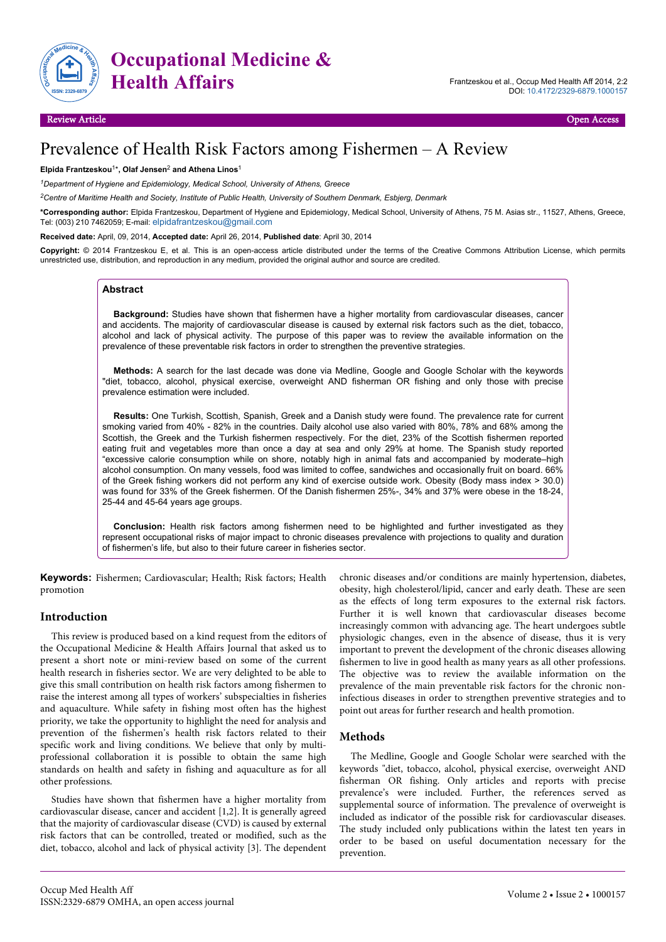

**Occupational Medicine &** Frantzeskou et al., Occup Med Health Aff 2014, 2:2

# Prevalence of Health Risk Factors among Fishermen – A Review

#### **Elpida Frantzeskou**<sup>1</sup> \***, Olaf Jensen**<sup>2</sup>  **and Athena Linos**<sup>1</sup>

*<sup>1</sup>Department of Hygiene and Epidemiology, Medical School, University of Athens, Greece*

*<sup>2</sup>Centre of Maritime Health and Society, Institute of Public Health, University of Southern Denmark, Esbjerg, Denmark*

**\*Corresponding author:** Elpida Frantzeskou, Department of Hygiene and Epidemiology, Medical School, University of Athens, 75 M. Asias str., 11527, Athens, Greece, Tel: (003) 210 7462059; E-mail: [elpidafrantzeskou@gmail.com](mailto:elpidafrantzeskou@gmail.com)

**Received date:** April, 09, 2014, **Accepted date:** April 26, 2014, **Published date**: April 30, 2014

**Copyright:** © 2014 Frantzeskou E, et al. This is an open-access article distributed under the terms of the Creative Commons Attribution License, which permits unrestricted use, distribution, and reproduction in any medium, provided the original author and source are credited.

# **Abstract**

**Background:** Studies have shown that fishermen have a higher mortality from cardiovascular diseases, cancer and accidents. The majority of cardiovascular disease is caused by external risk factors such as the diet, tobacco, alcohol and lack of physical activity. The purpose of this paper was to review the available information on the prevalence of these preventable risk factors in order to strengthen the preventive strategies.

**Methods:** A search for the last decade was done via Medline, Google and Google Scholar with the keywords "diet, tobacco, alcohol, physical exercise, overweight AND fisherman OR fishing and only those with precise prevalence estimation were included.

**Results:** One Turkish, Scottish, Spanish, Greek and a Danish study were found. The prevalence rate for current smoking varied from 40% - 82% in the countries. Daily alcohol use also varied with 80%, 78% and 68% among the Scottish, the Greek and the Turkish fishermen respectively. For the diet, 23% of the Scottish fishermen reported eating fruit and vegetables more than once a day at sea and only 29% at home. The Spanish study reported "excessive calorie consumption while on shore, notably high in animal fats and accompanied by moderate–high alcohol consumption. On many vessels, food was limited to coffee, sandwiches and occasionally fruit on board. 66% of the Greek fishing workers did not perform any kind of exercise outside work. Obesity (Body mass index > 30.0) was found for 33% of the Greek fishermen. Of the Danish fishermen 25%-, 34% and 37% were obese in the 18-24, 25-44 and 45-64 years age groups.

**Conclusion:** Health risk factors among fishermen need to be highlighted and further investigated as they represent occupational risks of major impact to chronic diseases prevalence with projections to quality and duration of fishermen's life, but also to their future career in fisheries sector.

**Keywords:** Fishermen; Cardiovascular; Health; Risk factors; Health promotion

## **Introduction**

This review is produced based on a kind request from the editors of the Occupational Medicine & Health Affairs Journal that asked us to present a short note or mini-review based on some of the current health research in fisheries sector. We are very delighted to be able to give this small contribution on health risk factors among fishermen to raise the interest among all types of workers' subspecialties in fisheries and aquaculture. While safety in fishing most often has the highest priority, we take the opportunity to highlight the need for analysis and prevention of the fishermen's health risk factors related to their specific work and living conditions. We believe that only by multiprofessional collaboration it is possible to obtain the same high standards on health and safety in fishing and aquaculture as for all other professions.

Studies have shown that fishermen have a higher mortality from cardiovascular disease, cancer and accident [1,2]. It is generally agreed that the majority of cardiovascular disease (CVD) is caused by external risk factors that can be controlled, treated or modified, such as the diet, tobacco, alcohol and lack of physical activity [3]. The dependent

chronic diseases and/or conditions are mainly hypertension, diabetes, obesity, high cholesterol/lipid, cancer and early death. These are seen as the effects of long term exposures to the external risk factors. Further it is well known that cardiovascular diseases become increasingly common with advancing age. The heart undergoes subtle physiologic changes, even in the absence of disease, thus it is very important to prevent the development of the chronic diseases allowing fishermen to live in good health as many years as all other professions. The objective was to review the available information on the prevalence of the main preventable risk factors for the chronic noninfectious diseases in order to strengthen preventive strategies and to point out areas for further research and health promotion.

# **Methods**

The Medline, Google and Google Scholar were searched with the keywords "diet, tobacco, alcohol, physical exercise, overweight AND fisherman OR fishing. Only articles and reports with precise prevalence's were included. Further, the references served as supplemental source of information. The prevalence of overweight is included as indicator of the possible risk for cardiovascular diseases. The study included only publications within the latest ten years in order to be based on useful documentation necessary for the prevention.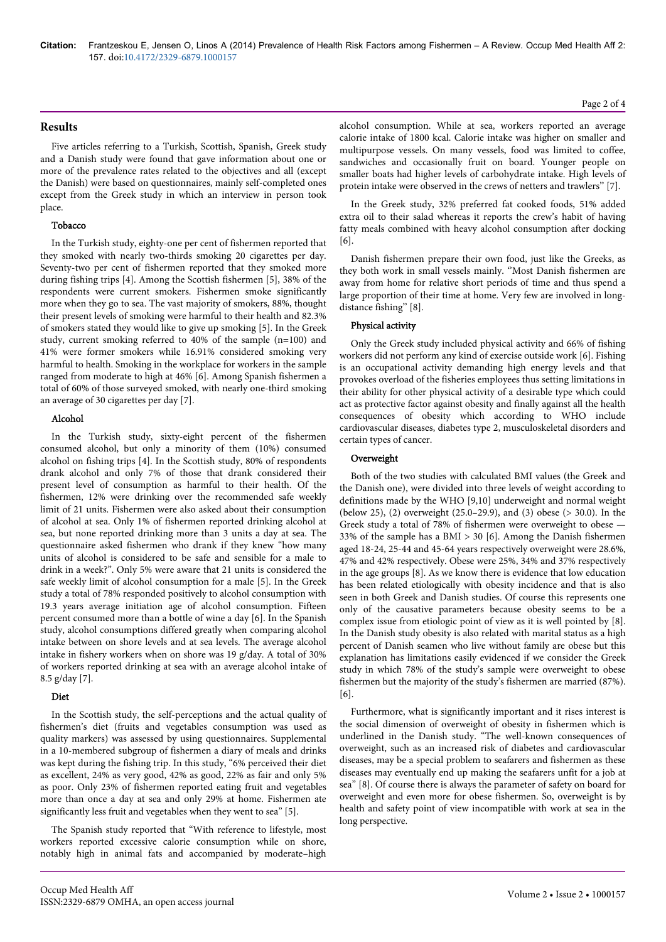**Citation:** Frantzeskou E, Jensen O, Linos A (2014) Prevalence of Health Risk Factors among Fishermen – A Review. Occup Med Health Aff 2: 157. doi:10.4172/2329-6879.1000157

#### **Results**

Five articles referring to a Turkish, Scottish, Spanish, Greek study and a Danish study were found that gave information about one or more of the prevalence rates related to the objectives and all (except the Danish) were based on questionnaires, mainly self-completed ones except from the Greek study in which an interview in person took place.

#### Tobacco

In the Turkish study, eighty-one per cent of fishermen reported that they smoked with nearly two-thirds smoking 20 cigarettes per day. Seventy-two per cent of fishermen reported that they smoked more during fishing trips [4]. Among the Scottish fishermen [5], 38% of the respondents were current smokers. Fishermen smoke significantly more when they go to sea. The vast majority of smokers, 88%, thought their present levels of smoking were harmful to their health and 82.3% of smokers stated they would like to give up smoking [5]. In the Greek study, current smoking referred to 40% of the sample (n=100) and 41% were former smokers while 16.91% considered smoking very harmful to health. Smoking in the workplace for workers in the sample ranged from moderate to high at 46% [6]. Among Spanish fishermen a total of 60% of those surveyed smoked, with nearly one-third smoking an average of 30 cigarettes per day [7].

#### Alcohol

In the Turkish study, sixty-eight percent of the fishermen consumed alcohol, but only a minority of them (10%) consumed alcohol on fishing trips [4]. In the Scottish study, 80% of respondents drank alcohol and only 7% of those that drank considered their present level of consumption as harmful to their health. Of the fishermen, 12% were drinking over the recommended safe weekly limit of 21 units. Fishermen were also asked about their consumption of alcohol at sea. Only 1% of fishermen reported drinking alcohol at sea, but none reported drinking more than 3 units a day at sea. The questionnaire asked fishermen who drank if they knew "how many units of alcohol is considered to be safe and sensible for a male to drink in a week?". Only 5% were aware that 21 units is considered the safe weekly limit of alcohol consumption for a male [5]. In the Greek study a total of 78% responded positively to alcohol consumption with 19.3 years average initiation age of alcohol consumption. Fifteen percent consumed more than a bottle of wine a day [6]. In the Spanish study, alcohol consumptions differed greatly when comparing alcohol intake between on shore levels and at sea levels. The average alcohol intake in fishery workers when on shore was 19 g/day. A total of 30% of workers reported drinking at sea with an average alcohol intake of 8.5 g/day [7].

## Diet

In the Scottish study, the self-perceptions and the actual quality of fishermen's diet (fruits and vegetables consumption was used as quality markers) was assessed by using questionnaires. Supplemental in a 10-membered subgroup of fishermen a diary of meals and drinks was kept during the fishing trip. In this study, "6% perceived their diet as excellent, 24% as very good, 42% as good, 22% as fair and only 5% as poor. Only 23% of fishermen reported eating fruit and vegetables more than once a day at sea and only 29% at home. Fishermen ate significantly less fruit and vegetables when they went to sea" [5].

The Spanish study reported that "With reference to lifestyle, most workers reported excessive calorie consumption while on shore, notably high in animal fats and accompanied by moderate–high

Occup Med Health Aff ISSN:2329-6879 OMHA, an open access journal alcohol consumption. While at sea, workers reported an average calorie intake of 1800 kcal. Calorie intake was higher on smaller and multipurpose vessels. On many vessels, food was limited to coffee, sandwiches and occasionally fruit on board. Younger people on smaller boats had higher levels of carbohydrate intake. High levels of protein intake were observed in the crews of netters and trawlers'' [7].

In the Greek study, 32% preferred fat cooked foods, 51% added extra oil to their salad whereas it reports the crew's habit of having fatty meals combined with heavy alcohol consumption after docking [6].

Danish fishermen prepare their own food, just like the Greeks, as they both work in small vessels mainly. ''Most Danish fishermen are away from home for relative short periods of time and thus spend a large proportion of their time at home. Very few are involved in longdistance fishing'' [8].

#### Physical activity

Only the Greek study included physical activity and 66% of fishing workers did not perform any kind of exercise outside work [6]. Fishing is an occupational activity demanding high energy levels and that provokes overload of the fisheries employees thus setting limitations in their ability for other physical activity of a desirable type which could act as protective factor against obesity and finally against all the health consequences of obesity which according to WHO include cardiovascular diseases, diabetes type 2, musculoskeletal disorders and certain types of cancer.

## Overweight

Both of the two studies with calculated BMI values (the Greek and the Danish one), were divided into three levels of weight according to definitions made by the WHO [9,10] underweight and normal weight (below 25), (2) overweight (25.0–29.9), and (3) obese (> 30.0). In the Greek study a total of 78% of fishermen were overweight to obese — 33% of the sample has a BMI > 30 [6]. Among the Danish fishermen aged 18-24, 25-44 and 45-64 years respectively overweight were 28.6%, 47% and 42% respectively. Obese were 25%, 34% and 37% respectively in the age groups [8]. As we know there is evidence that low education has been related etiologically with obesity incidence and that is also seen in both Greek and Danish studies. Of course this represents one only of the causative parameters because obesity seems to be a complex issue from etiologic point of view as it is well pointed by [8]. In the Danish study obesity is also related with marital status as a high percent of Danish seamen who live without family are obese but this explanation has limitations easily evidenced if we consider the Greek study in which 78% of the study's sample were overweight to obese fishermen but the majority of the study's fishermen are married (87%). [6].

Furthermore, what is significantly important and it rises interest is the social dimension of overweight of obesity in fishermen which is underlined in the Danish study. "The well-known consequences of overweight, such as an increased risk of diabetes and cardiovascular diseases, may be a special problem to seafarers and fishermen as these diseases may eventually end up making the seafarers unfit for a job at sea" [8]. Of course there is always the parameter of safety on board for overweight and even more for obese fishermen. So, overweight is by health and safety point of view incompatible with work at sea in the long perspective.

#### Page 2 of 4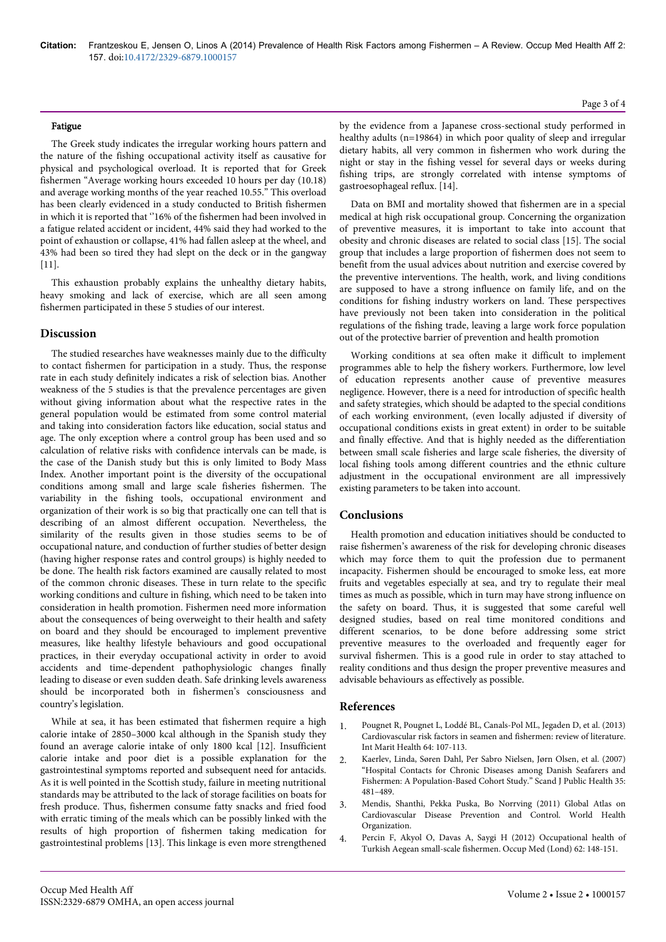#### Fatigue

The Greek study indicates the irregular working hours pattern and the nature of the fishing occupational activity itself as causative for physical and psychological overload. It is reported that for Greek fishermen "Average working hours exceeded 10 hours per day (10.18) and average working months of the year reached 10.55." This overload has been clearly evidenced in a study conducted to British fishermen in which it is reported that ''16% of the fishermen had been involved in a fatigue related accident or incident, 44% said they had worked to the point of exhaustion or collapse, 41% had fallen asleep at the wheel, and 43% had been so tired they had slept on the deck or in the gangway [11].

This exhaustion probably explains the unhealthy dietary habits, heavy smoking and lack of exercise, which are all seen among fishermen participated in these 5 studies of our interest.

### **Discussion**

The studied researches have weaknesses mainly due to the difficulty to contact fishermen for participation in a study. Thus, the response rate in each study definitely indicates a risk of selection bias. Another weakness of the 5 studies is that the prevalence percentages are given without giving information about what the respective rates in the general population would be estimated from some control material and taking into consideration factors like education, social status and age. The only exception where a control group has been used and so calculation of relative risks with confidence intervals can be made, is the case of the Danish study but this is only limited to Body Mass Index. Another important point is the diversity of the occupational conditions among small and large scale fisheries fishermen. The variability in the fishing tools, occupational environment and organization of their work is so big that practically one can tell that is describing of an almost different occupation. Nevertheless, the similarity of the results given in those studies seems to be of occupational nature, and conduction of further studies of better design (having higher response rates and control groups) is highly needed to be done. The health risk factors examined are causally related to most of the common chronic diseases. These in turn relate to the specific working conditions and culture in fishing, which need to be taken into consideration in health promotion. Fishermen need more information about the consequences of being overweight to their health and safety on board and they should be encouraged to implement preventive measures, like healthy lifestyle behaviours and good occupational practices, in their everyday occupational activity in order to avoid accidents and time-dependent pathophysiologic changes finally leading to disease or even sudden death. Safe drinking levels awareness should be incorporated both in fishermen's consciousness and country's legislation.

While at sea, it has been estimated that fishermen require a high calorie intake of 2850–3000 kcal although in the Spanish study they found an average calorie intake of only 1800 kcal [12]. Insufficient calorie intake and poor diet is a possible explanation for the gastrointestinal symptoms reported and subsequent need for antacids. As it is well pointed in the Scottish study, failure in meeting nutritional standards may be attributed to the lack of storage facilities on boats for fresh produce. Thus, fishermen consume fatty snacks and fried food with erratic timing of the meals which can be possibly linked with the results of high proportion of fishermen taking medication for gastrointestinal problems [13]. This linkage is even more strengthened

by the evidence from a Japanese cross-sectional study performed in healthy adults (n=19864) in which poor quality of sleep and irregular dietary habits, all very common in fishermen who work during the night or stay in the fishing vessel for several days or weeks during fishing trips, are strongly correlated with intense symptoms of gastroesophageal reflux. [14].

Data on BMI and mortality showed that fishermen are in a special medical at high risk occupational group. Concerning the organization of preventive measures, it is important to take into account that obesity and chronic diseases are related to social class [15]. The social group that includes a large proportion of fishermen does not seem to benefit from the usual advices about nutrition and exercise covered by the preventive interventions. The health, work, and living conditions are supposed to have a strong influence on family life, and on the conditions for fishing industry workers on land. These perspectives have previously not been taken into consideration in the political regulations of the fishing trade, leaving a large work force population out of the protective barrier of prevention and health promotion

Working conditions at sea often make it difficult to implement programmes able to help the fishery workers. Furthermore, low level of education represents another cause of preventive measures negligence. However, there is a need for introduction of specific health and safety strategies, which should be adapted to the special conditions of each working environment, (even locally adjusted if diversity of occupational conditions exists in great extent) in order to be suitable and finally effective. And that is highly needed as the differentiation between small scale fisheries and large scale fisheries, the diversity of local fishing tools among different countries and the ethnic culture adjustment in the occupational environment are all impressively existing parameters to be taken into account.

### **Conclusions**

Health promotion and education initiatives should be conducted to raise fishermen's awareness of the risk for developing chronic diseases which may force them to quit the profession due to permanent incapacity. Fishermen should be encouraged to smoke less, eat more fruits and vegetables especially at sea, and try to regulate their meal times as much as possible, which in turn may have strong influence on the safety on board. Thus, it is suggested that some careful well designed studies, based on real time monitored conditions and different scenarios, to be done before addressing some strict preventive measures to the overloaded and frequently eager for survival fishermen. This is a good rule in order to stay attached to reality conditions and thus design the proper preventive measures and advisable behaviours as effectively as possible.

## **References**

- 1. [Pougnet R, Pougnet L, Loddé BL, Canals-Pol ML, Jegaden D, et al. \(2013\)](http://www.ncbi.nlm.nih.gov/pubmed/24072535) [Cardiovascular risk factors in seamen and fishermen: review of literature.](http://www.ncbi.nlm.nih.gov/pubmed/24072535) [Int Marit Health 64: 107-113.](http://www.ncbi.nlm.nih.gov/pubmed/24072535)
- 2. [Kaerlev, Linda, Søren Dahl, Per Sabro Nielsen, Jørn Olsen, et al. \(2007\)](http://www.ncbi.nlm.nih.gov/pubmed/17852993) ["Hospital Contacts for Chronic Diseases among Danish Seafarers and](http://www.ncbi.nlm.nih.gov/pubmed/17852993) [Fishermen: A Population-Based Cohort Study." Scand J Public Health 35:](http://www.ncbi.nlm.nih.gov/pubmed/17852993) [481–489.](http://www.ncbi.nlm.nih.gov/pubmed/17852993)
- 3. [Mendis, Shanthi, Pekka Puska, Bo Norrving \(2011\) Global Atlas on](http://whqlibdoc.who.int/publications/2011/9789241564373_eng.pdf) [Cardiovascular Disease Prevention and Control. World Health](http://whqlibdoc.who.int/publications/2011/9789241564373_eng.pdf) [Organization.](http://whqlibdoc.who.int/publications/2011/9789241564373_eng.pdf)
- 4. [Percin F, Akyol O, Davas A, Saygi H \(2012\) Occupational health of](http://www.ncbi.nlm.nih.gov/pubmed/22113895) [Turkish Aegean small-scale fishermen. Occup Med \(Lond\) 62: 148-151.](http://www.ncbi.nlm.nih.gov/pubmed/22113895)